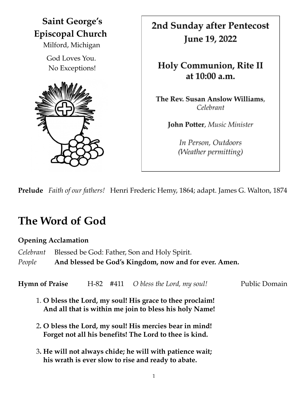

2nd Sunday after Pentecost **June 19, 2022** 

# **Holy Communion, Rite II** at 10:00 a.m.

The Rev. Susan Anslow Williams, Celebrant

John Potter, Music Minister

In Person, Outdoors (Weather permitting)

**Prelude** *Faith of our fathers!* Henri Frederic Hemy, 1864; adapt. James G. Walton, 1874

# **The Word of God**

# **Opening Acclamation**

*Celebrant* Blessed be God: Father, Son and Holy Spirit. *People* **And blessed be God's Kingdom, now and for ever. Amen.**

**Hymn of Praise** H-82 #411 *O bless the Lord, my soul!* Public Domain

- 1. **O bless the Lord, my soul! His grace to thee proclaim! And all that is within me join to bless his holy Name!**
- 2**. O bless the Lord, my soul! His mercies bear in mind! Forget not all his benefits! The Lord to thee is kind.**
- 3**. He will not always chide; he will with patience wait; his wrath is ever slow to rise and ready to abate.**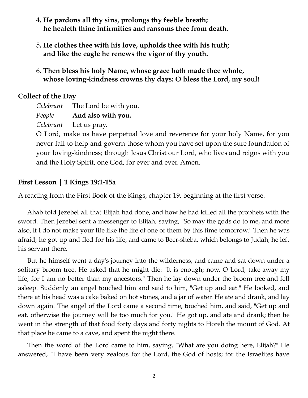- 4**. He pardons all thy sins, prolongs thy feeble breath; he healeth thine infirmities and ransoms thee from death.**
- 5**. He clothes thee with his love, upholds thee with his truth; and like the eagle he renews the vigor of thy youth.**
- 6**. Then bless his holy Name, whose grace hath made thee whole, whose loving-kindness crowns thy days: O bless the Lord, my soul!**

#### **Collect of the Day**

*Celebrant* The Lord be with you.

*People* **And also with you.**

*Celebrant* Let us pray.

O Lord, make us have perpetual love and reverence for your holy Name, for you never fail to help and govern those whom you have set upon the sure foundation of your loving-kindness; through Jesus Christ our Lord, who lives and reigns with you and the Holy Spirit, one God, for ever and ever. Amen.

#### **First Lesson** | **1 Kings 19:1-15a**

A reading from the First Book of the Kings, chapter 19, beginning at the first verse.

Ahab told Jezebel all that Elijah had done, and how he had killed all the prophets with the sword. Then Jezebel sent a messenger to Elijah, saying, "So may the gods do to me, and more also, if I do not make your life like the life of one of them by this time tomorrow." Then he was afraid; he got up and fled for his life, and came to Beer-sheba, which belongs to Judah; he left his servant there.

But he himself went a day's journey into the wilderness, and came and sat down under a solitary broom tree. He asked that he might die: "It is enough; now, O Lord, take away my life, for I am no better than my ancestors." Then he lay down under the broom tree and fell asleep. Suddenly an angel touched him and said to him, "Get up and eat." He looked, and there at his head was a cake baked on hot stones, and a jar of water. He ate and drank, and lay down again. The angel of the Lord came a second time, touched him, and said, "Get up and eat, otherwise the journey will be too much for you." He got up, and ate and drank; then he went in the strength of that food forty days and forty nights to Horeb the mount of God. At that place he came to a cave, and spent the night there.

Then the word of the Lord came to him, saying, "What are you doing here, Elijah?" He answered, "I have been very zealous for the Lord, the God of hosts; for the Israelites have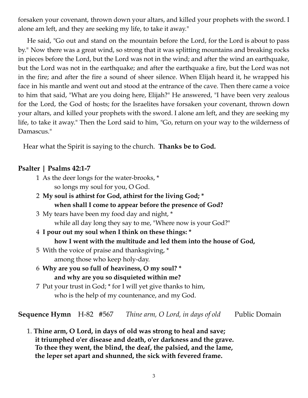forsaken your covenant, thrown down your altars, and killed your prophets with the sword. I alone am left, and they are seeking my life, to take it away."

He said, "Go out and stand on the mountain before the Lord, for the Lord is about to pass by." Now there was a great wind, so strong that it was splitting mountains and breaking rocks in pieces before the Lord, but the Lord was not in the wind; and after the wind an earthquake, but the Lord was not in the earthquake; and after the earthquake a fire, but the Lord was not in the fire; and after the fire a sound of sheer silence. When Elijah heard it, he wrapped his face in his mantle and went out and stood at the entrance of the cave. Then there came a voice to him that said, "What are you doing here, Elijah?" He answered, "I have been very zealous for the Lord, the God of hosts; for the Israelites have forsaken your covenant, thrown down your altars, and killed your prophets with the sword. I alone am left, and they are seeking my life, to take it away." Then the Lord said to him, "Go, return on your way to the wilderness of Damascus."

Hear what the Spirit is saying to the church. **Thanks be to God.**

#### **Psalter | Psalms 42:1-7**

- 1 As the deer longs for the water-brooks, \* so longs my soul for you, O God.
- 2 **My soul is athirst for God, athirst for the living God; \* when shall I come to appear before the presence of God?**
- 3 My tears have been my food day and night, \* while all day long they say to me, "Where now is your God?"
- 4 **I pour out my soul when I think on these things: \* how I went with the multitude and led them into the house of God,**
- 5 With the voice of praise and thanksgiving, \* among those who keep holy-day.
- 6 **Why are you so full of heaviness, O my soul? \* and why are you so disquieted within me?**
- 7 Put your trust in God; \* for I will yet give thanks to him, who is the help of my countenance, and my God.

**Sequence Hymn** H-82 #567 *Thine arm, O Lord, in days of old* Public Domain

1. **Thine arm, O Lord, in days of old was strong to heal and save; it triumphed o'er disease and death, o'er darkness and the grave. To thee they went, the blind, the deaf, the palsied, and the lame, the leper set apart and shunned, the sick with fevered frame.**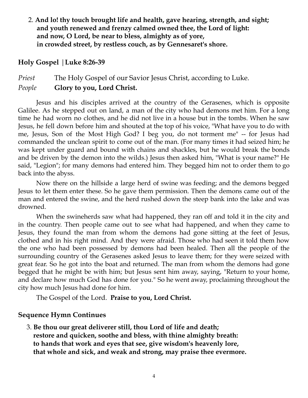2. **And lo! thy touch brought life and health, gave hearing, strength, and sight; and youth renewed and frenzy calmed owned thee, the Lord of light: and now, O Lord, be near to bless, almighty as of yore, in crowded street, by restless couch, as by Gennesaret's shore.**

#### **Holy Gospel** |**Luke 8:26-39**

*Priest* The Holy Gospel of our Savior Jesus Christ, according to Luke. *People* **Glory to you, Lord Christ.**

Jesus and his disciples arrived at the country of the Gerasenes, which is opposite Galilee. As he stepped out on land, a man of the city who had demons met him. For a long time he had worn no clothes, and he did not live in a house but in the tombs. When he saw Jesus, he fell down before him and shouted at the top of his voice, "What have you to do with me, Jesus, Son of the Most High God? I beg you, do not torment me" -- for Jesus had commanded the unclean spirit to come out of the man. (For many times it had seized him; he was kept under guard and bound with chains and shackles, but he would break the bonds and be driven by the demon into the wilds.) Jesus then asked him, "What is your name?" He said, "Legion"; for many demons had entered him. They begged him not to order them to go back into the abyss.

Now there on the hillside a large herd of swine was feeding; and the demons begged Jesus to let them enter these. So he gave them permission. Then the demons came out of the man and entered the swine, and the herd rushed down the steep bank into the lake and was drowned.

When the swineherds saw what had happened, they ran off and told it in the city and in the country. Then people came out to see what had happened, and when they came to Jesus, they found the man from whom the demons had gone sitting at the feet of Jesus, clothed and in his right mind. And they were afraid. Those who had seen it told them how the one who had been possessed by demons had been healed. Then all the people of the surrounding country of the Gerasenes asked Jesus to leave them; for they were seized with great fear. So he got into the boat and returned. The man from whom the demons had gone begged that he might be with him; but Jesus sent him away, saying, "Return to your home, and declare how much God has done for you." So he went away, proclaiming throughout the city how much Jesus had done for him.

The Gospel of the Lord. **Praise to you, Lord Christ.**

#### **Sequence Hymn Continues**

3. **Be thou our great deliverer still, thou Lord of life and death; restore and quicken, soothe and bless, with thine almighty breath: to hands that work and eyes that see, give wisdom's heavenly lore, that whole and sick, and weak and strong, may praise thee evermore.**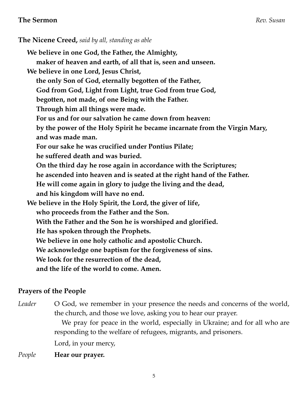**The Nicene Creed,** *said by all, standing as able*

**We believe in one God, the Father, the Almighty, maker of heaven and earth, of all that is, seen and unseen. We believe in one Lord, Jesus Christ, the only Son of God, eternally begotten of the Father, God from God, Light from Light, true God from true God, begotten, not made, of one Being with the Father. Through him all things were made. For us and for our salvation he came down from heaven: by the power of the Holy Spirit he became incarnate from the Virgin Mary, and was made man. For our sake he was crucified under Pontius Pilate; he suffered death and was buried. On the third day he rose again in accordance with the Scriptures; he ascended into heaven and is seated at the right hand of the Father. He will come again in glory to judge the living and the dead, and his kingdom will have no end. We believe in the Holy Spirit, the Lord, the giver of life, who proceeds from the Father and the Son. With the Father and the Son he is worshiped and glorified. He has spoken through the Prophets. We believe in one holy catholic and apostolic Church. We acknowledge one baptism for the forgiveness of sins. We look for the resurrection of the dead, and the life of the world to come. Amen.**

# **Prayers of the People**

*Leader* O God, we remember in your presence the needs and concerns of the world, the church, and those we love, asking you to hear our prayer.

> We pray for peace in the world, especially in Ukraine; and for all who are responding to the welfare of refugees, migrants, and prisoners.

Lord, in your mercy,

*People* **Hear our prayer.**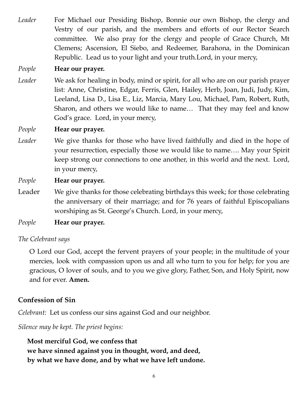*Leader* For Michael our Presiding Bishop, Bonnie our own Bishop, the clergy and Vestry of our parish, and the members and efforts of our Rector Search committee. We also pray for the clergy and people of Grace Church, Mt Clemens; Ascension, El Siebo, and Redeemer, Barahona, in the Dominican Republic. Lead us to your light and your truth.Lord, in your mercy,

# *People* **Hear our prayer.**

*Leader* We ask for healing in body, mind or spirit, for all who are on our parish prayer list: Anne, Christine, Edgar, Ferris, Glen, Hailey, Herb, Joan, Judi, Judy, Kim, Leeland, Lisa D., Lisa E., Liz, Marcia, Mary Lou, Michael, Pam, Robert, Ruth, Sharon, and others we would like to name… That they may feel and know God's grace. Lord, in your mercy,

# *People* **Hear our prayer.**

*Leader* We give thanks for those who have lived faithfully and died in the hope of your resurrection, especially those we would like to name…. May your Spirit keep strong our connections to one another, in this world and the next. Lord, in your mercy,

# *People* **Hear our prayer.**

Leader We give thanks for those celebrating birthdays this week; for those celebrating the anniversary of their marriage; and for 76 years of faithful Episcopalians worshiping as St. George's Church. Lord, in your mercy,

# *People* **Hear our prayer.**

# *The Celebrant says*

O Lord our God, accept the fervent prayers of your people; in the multitude of your mercies, look with compassion upon us and all who turn to you for help; for you are gracious, O lover of souls, and to you we give glory, Father, Son, and Holy Spirit, now and for ever. **Amen.**

# **Confession of Sin**

*Celebrant:* Let us confess our sins against God and our neighbor.

*Silence may be kept. The priest begins:*

**Most merciful God, we confess that we have sinned against you in thought, word, and deed, by what we have done, and by what we have left undone.**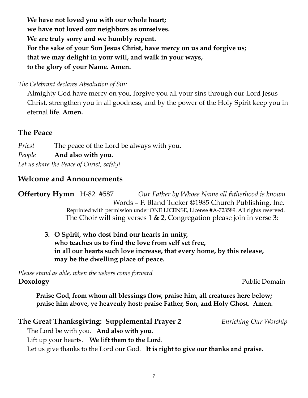**we have not loved our neighbors as ourselves. We are truly sorry and we humbly repent. For the sake of your Son Jesus Christ, have mercy on us and forgive us; that we may delight in your will, and walk in your ways, to the glory of your Name. Amen.**

# *The Celebrant declares Absolution of Sin:*

Almighty God have mercy on you, forgive you all your sins through our Lord Jesus Christ, strengthen you in all goodness, and by the power of the Holy Spirit keep you in eternal life. **Amen.**

# **The Peace**

*Priest* The peace of the Lord be always with you.

**We have not loved you with our whole heart;**

# *People* **And also with you.**

*Let us share the Peace of Christ, safely!*

# **Welcome and Announcements**

**Offertory Hymn** H-82 #587 *Our Father by Whose Name all fatherhood is known* Words – F. Bland Tucker ©1985 Church Publishing, Inc. Reprinted with permission under ONE LICENSE, License #A-723589. All rights reserved. The Choir will sing verses 1 & 2, Congregation please join in verse 3:

# **3. O Spirit, who dost bind our hearts in unity, who teaches us to find the love from self set free, in all our hearts such love increase, that every home, by this release, may be the dwelling place of peace.**

*Please stand as able, when the ushers come forward* **Doxology** Public Domain

**Praise God, from whom all blessings flow, praise him, all creatures here below; praise him above, ye heavenly host: praise Father, Son, and Holy Ghost. Amen.**

# **The Great Thanksgiving: Supplemental Prayer 2** *Enriching Our Worship*

The Lord be with you. **And also with you.**

Lift up your hearts. **We lift them to the Lord**.

Let us give thanks to the Lord our God. **It is right to give our thanks and praise.**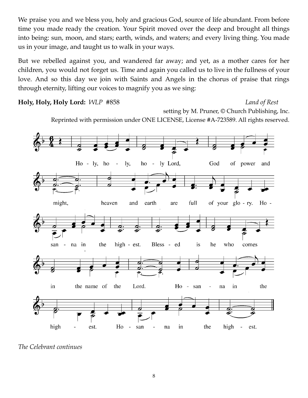We praise you and we bless you, holy and gracious God, source of life abundant. From before time you made ready the creation. Your Spirit moved over the deep and brought all things into being: sun, moon, and stars; earth, winds, and waters; and every living thing. You made us in your image, and taught us to walk in your ways.

But we rebelled against you, and wandered far away; and yet, as a mother cares for her children, you would not forget us. Time and again you called us to live in the fullness of your love. And so this day we join with Saints and Angels in the chorus of praise that rings through eternity, lifting our voices to magnify you as we sing:

**Holy, Holy, Holy Lord:** *WLP* #858 *Land of Rest*

setting by M. Pruner, © Church Publishing, Inc.

Reprinted with permission under ONE LICENSE, License #A-723589. All rights reserved.



*The Celebrant continues*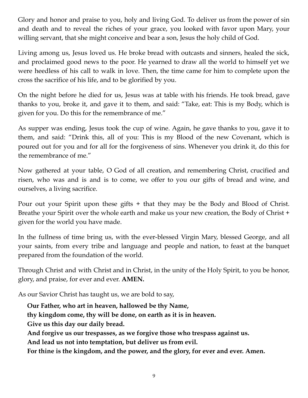Glory and honor and praise to you, holy and living God. To deliver us from the power of sin and death and to reveal the riches of your grace, you looked with favor upon Mary, your willing servant, that she might conceive and bear a son, Jesus the holy child of God.

Living among us, Jesus loved us. He broke bread with outcasts and sinners, healed the sick, and proclaimed good news to the poor. He yearned to draw all the world to himself yet we were heedless of his call to walk in love. Then, the time came for him to complete upon the cross the sacrifice of his life, and to be glorified by you.

On the night before he died for us, Jesus was at table with his friends. He took bread, gave thanks to you, broke it, and gave it to them, and said: "Take, eat: This is my Body, which is given for you. Do this for the remembrance of me."

As supper was ending, Jesus took the cup of wine. Again, he gave thanks to you, gave it to them, and said: "Drink this, all of you: This is my Blood of the new Covenant, which is poured out for you and for all for the forgiveness of sins. Whenever you drink it, do this for the remembrance of me."

Now gathered at your table, O God of all creation, and remembering Christ, crucified and risen, who was and is and is to come, we offer to you our gifts of bread and wine, and ourselves, a living sacrifice.

Pour out your Spirit upon these gifts + that they may be the Body and Blood of Christ. Breathe your Spirit over the whole earth and make us your new creation, the Body of Christ + given for the world you have made.

In the fullness of time bring us, with the ever-blessed Virgin Mary, blessed George, and all your saints, from every tribe and language and people and nation, to feast at the banquet prepared from the foundation of the world.

Through Christ and with Christ and in Christ, in the unity of the Holy Spirit, to you be honor, glory, and praise, for ever and ever. **AMEN.**

As our Savior Christ has taught us, we are bold to say,

**Our Father, who art in heaven, hallowed be thy Name,**

**thy kingdom come, thy will be done, on earth as it is in heaven.**

**Give us this day our daily bread.**

**And forgive us our trespasses, as we forgive those who trespass against us.**

**And lead us not into temptation, but deliver us from evil.**

**For thine is the kingdom, and the power, and the glory, for ever and ever. Amen.**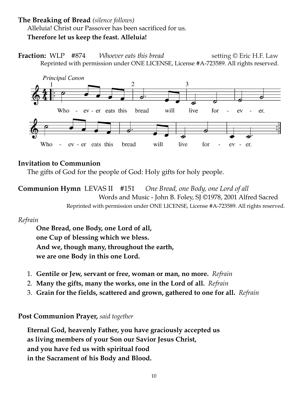### **The Breaking of Bread** *(silence follows)*

Alleluia! Christ our Passover has been sacrificed for us.

**Therefore let us keep the feast. Alleluia!**





# **Invitation to Communion**

The gifts of God for the people of God: Holy gifts for holy people.

**Communion Hymn** LEVAS II #151 *One Bread, one Body, one Lord of all* Words and Music - John B. Foley, SJ ©1978, 2001 Alfred Sacred Reprinted with permission under ONE LICENSE, License #A-723589. All rights reserved.

# *Refrain*

**One Bread, one Body, one Lord of all, one Cup of blessing which we bless. And we, though many, throughout the earth, we are one Body in this one Lord.**

- 1. **Gentile or Jew, servant or free, woman or man, no more.** *Refrain*
- 2. **Many the gifts, many the works, one in the Lord of all.** *Refrain*
- 3. **Grain for the fields, scattered and grown, gathered to one for all.** *Refrain*

**Post Communion Prayer,** *said together*

**Eternal God, heavenly Father, you have graciously accepted us as living members of your Son our Savior Jesus Christ, and you have fed us with spiritual food in the Sacrament of his Body and Blood.**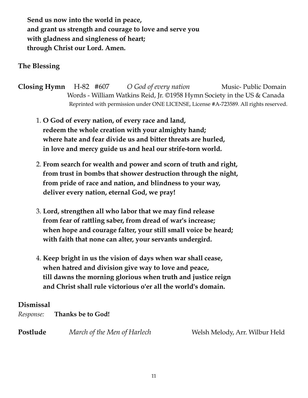**Send us now into the world in peace, and grant us strength and courage to love and serve you with gladness and singleness of heart; through Christ our Lord. Amen.**

# **The Blessing**

- **Closing Hymn** H-82 #607 *O God of every nation* Music- Public Domain Words - William Watkins Reid, Jr. ©1958 Hymn Society in the US & Canada Reprinted with permission under ONE LICENSE, License #A-723589. All rights reserved.
	- 1. **O God of every nation, of every race and land, redeem the whole creation with your almighty hand; where hate and fear divide us and bitter threats are hurled, in love and mercy guide us and heal our strife-torn world.**
	- 2. **From search for wealth and power and scorn of truth and right, from trust in bombs that shower destruction through the night, from pride of race and nation, and blindness to your way, deliver every nation, eternal God, we pray!**
	- 3. **Lord, strengthen all who labor that we may find release from fear of rattling saber, from dread of war's increase; when hope and courage falter, your still small voice be heard; with faith that none can alter, your servants undergird.**
	- 4. **Keep bright in us the vision of days when war shall cease, when hatred and division give way to love and peace, till dawns the morning glorious when truth and justice reign and Christ shall rule victorious o'er all the world's domain.**

# **Dismissal**

*Response:* **Thanks be to God!**

**Postlude** *March of the Men of Harlech* Welsh Melody, Arr. Wilbur Held